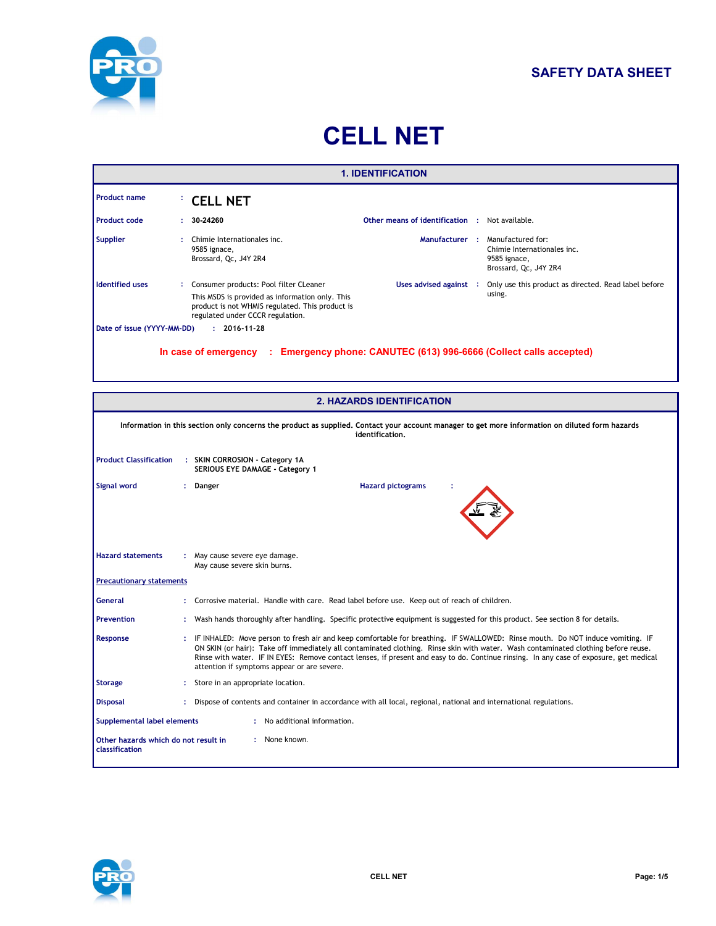

# **CELL NET**

|                                                                         |                                                                                                                                                                                                                                                                                                                                                                                                                                                                 |                                                                                                                                                                                  | <b>1. IDENTIFICATION</b>                              |  |                                                                                                          |
|-------------------------------------------------------------------------|-----------------------------------------------------------------------------------------------------------------------------------------------------------------------------------------------------------------------------------------------------------------------------------------------------------------------------------------------------------------------------------------------------------------------------------------------------------------|----------------------------------------------------------------------------------------------------------------------------------------------------------------------------------|-------------------------------------------------------|--|----------------------------------------------------------------------------------------------------------|
| <b>Product name</b>                                                     |                                                                                                                                                                                                                                                                                                                                                                                                                                                                 | <b>CELL NET</b>                                                                                                                                                                  |                                                       |  |                                                                                                          |
| <b>Product code</b>                                                     |                                                                                                                                                                                                                                                                                                                                                                                                                                                                 | 30-24260                                                                                                                                                                         | <b>Other means of identification : Not available.</b> |  |                                                                                                          |
| <b>Supplier</b>                                                         |                                                                                                                                                                                                                                                                                                                                                                                                                                                                 | Chimie Internationales inc.<br>9585 ignace,<br>Brossard, Qc, J4Y 2R4                                                                                                             |                                                       |  | Manufacturer : Manufactured for:<br>Chimie Internationales inc.<br>9585 ignace.<br>Brossard, Qc, J4Y 2R4 |
| <b>Identified uses</b>                                                  |                                                                                                                                                                                                                                                                                                                                                                                                                                                                 | Consumer products: Pool filter CLeaner<br>This MSDS is provided as information only. This<br>product is not WHMIS regulated. This product is<br>regulated under CCCR regulation. | Uses advised against :                                |  | Only use this product as directed. Read label before<br>using.                                           |
| Date of issue (YYYY-MM-DD)                                              |                                                                                                                                                                                                                                                                                                                                                                                                                                                                 | $: 2016 - 11 - 28$                                                                                                                                                               |                                                       |  |                                                                                                          |
|                                                                         |                                                                                                                                                                                                                                                                                                                                                                                                                                                                 | In case of emergency : Emergency phone: CANUTEC (613) 996-6666 (Collect calls accepted)                                                                                          |                                                       |  |                                                                                                          |
|                                                                         |                                                                                                                                                                                                                                                                                                                                                                                                                                                                 |                                                                                                                                                                                  | <b>2. HAZARDS IDENTIFICATION</b>                      |  |                                                                                                          |
|                                                                         |                                                                                                                                                                                                                                                                                                                                                                                                                                                                 | Information in this section only concerns the product as supplied. Contact your account manager to get more information on diluted form hazards                                  | identification.                                       |  |                                                                                                          |
| <b>Product Classification</b>                                           |                                                                                                                                                                                                                                                                                                                                                                                                                                                                 | : SKIN CORROSION - Category 1A<br>SERIOUS EYE DAMAGE - Category 1                                                                                                                |                                                       |  |                                                                                                          |
| Signal word                                                             |                                                                                                                                                                                                                                                                                                                                                                                                                                                                 | : Danger                                                                                                                                                                         | <b>Hazard pictograms</b>                              |  |                                                                                                          |
| <b>Hazard statements</b>                                                |                                                                                                                                                                                                                                                                                                                                                                                                                                                                 | : May cause severe eye damage.<br>May cause severe skin burns.                                                                                                                   |                                                       |  |                                                                                                          |
| <b>Precautionary statements</b>                                         |                                                                                                                                                                                                                                                                                                                                                                                                                                                                 |                                                                                                                                                                                  |                                                       |  |                                                                                                          |
| <b>General</b>                                                          |                                                                                                                                                                                                                                                                                                                                                                                                                                                                 | Corrosive material. Handle with care. Read label before use. Keep out of reach of children.                                                                                      |                                                       |  |                                                                                                          |
| <b>Prevention</b>                                                       |                                                                                                                                                                                                                                                                                                                                                                                                                                                                 | Wash hands thoroughly after handling. Specific protective equipment is suggested for this product. See section 8 for details.                                                    |                                                       |  |                                                                                                          |
| Response                                                                | : IF INHALED: Move person to fresh air and keep comfortable for breathing. IF SWALLOWED: Rinse mouth. Do NOT induce vomiting. IF<br>ON SKIN (or hair): Take off immediately all contaminated clothing. Rinse skin with water. Wash contaminated clothing before reuse.<br>Rinse with water. IF IN EYES: Remove contact lenses, if present and easy to do. Continue rinsing. In any case of exposure, get medical<br>attention if symptoms appear or are severe. |                                                                                                                                                                                  |                                                       |  |                                                                                                          |
| <b>Storage</b>                                                          |                                                                                                                                                                                                                                                                                                                                                                                                                                                                 | Store in an appropriate location.                                                                                                                                                |                                                       |  |                                                                                                          |
| <b>Disposal</b>                                                         |                                                                                                                                                                                                                                                                                                                                                                                                                                                                 | : Dispose of contents and container in accordance with all local, regional, national and international regulations.                                                              |                                                       |  |                                                                                                          |
| <b>Supplemental label elements</b>                                      |                                                                                                                                                                                                                                                                                                                                                                                                                                                                 | : No additional information.                                                                                                                                                     |                                                       |  |                                                                                                          |
| Other hazards which do not result in<br>: None known.<br>classification |                                                                                                                                                                                                                                                                                                                                                                                                                                                                 |                                                                                                                                                                                  |                                                       |  |                                                                                                          |

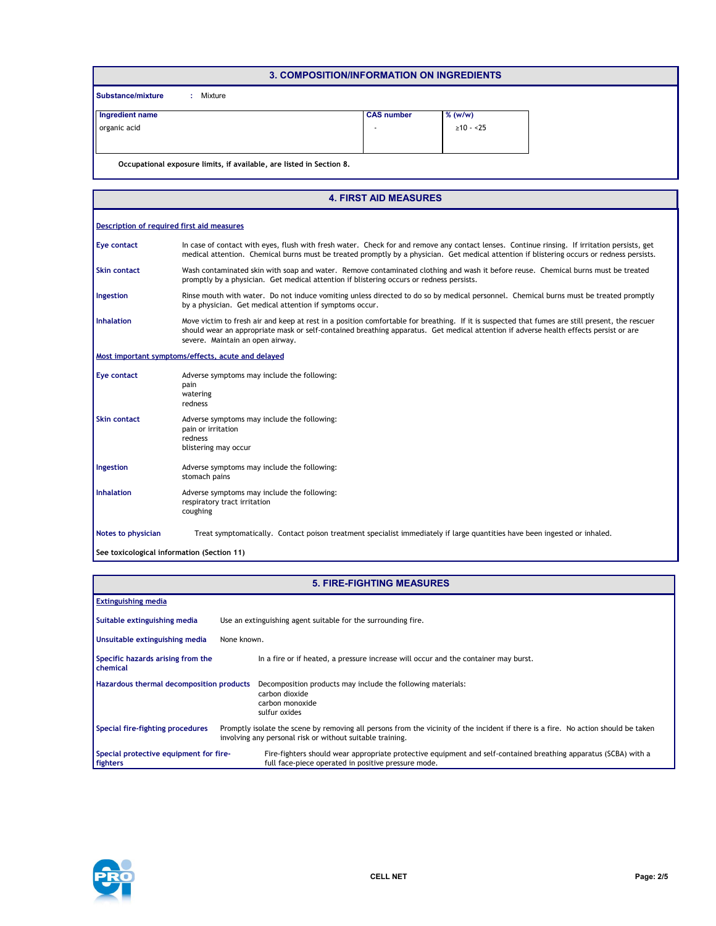| 3. COMPOSITION/INFORMATION ON INGREDIENTS |                                                                      |                |  |  |  |  |  |
|-------------------------------------------|----------------------------------------------------------------------|----------------|--|--|--|--|--|
| <b>Substance/mixture</b><br>Mixture<br>÷. |                                                                      |                |  |  |  |  |  |
| Ingredient name                           | <b>CAS</b> number                                                    | $%$ (w/w)      |  |  |  |  |  |
| organic acid                              |                                                                      | $\geq 10 - 25$ |  |  |  |  |  |
|                                           |                                                                      |                |  |  |  |  |  |
|                                           | Occupational exposure limits, if available, are listed in Section 8. |                |  |  |  |  |  |

| <b>4. FIRST AID MEASURES</b>                         |                                                                                                                                                                                                                                                                                                                              |  |  |  |  |
|------------------------------------------------------|------------------------------------------------------------------------------------------------------------------------------------------------------------------------------------------------------------------------------------------------------------------------------------------------------------------------------|--|--|--|--|
| <b>Description of required first aid measures</b>    |                                                                                                                                                                                                                                                                                                                              |  |  |  |  |
| Eye contact                                          | In case of contact with eyes, flush with fresh water. Check for and remove any contact lenses. Continue rinsing. If irritation persists, get<br>medical attention. Chemical burns must be treated promptly by a physician. Get medical attention if blistering occurs or redness persists.                                   |  |  |  |  |
| Skin contact                                         | Wash contaminated skin with soap and water. Remove contaminated clothing and wash it before reuse. Chemical burns must be treated<br>promptly by a physician. Get medical attention if blistering occurs or redness persists.                                                                                                |  |  |  |  |
| Ingestion                                            | Rinse mouth with water. Do not induce vomiting unless directed to do so by medical personnel. Chemical burns must be treated promptly<br>by a physician. Get medical attention if symptoms occur.                                                                                                                            |  |  |  |  |
| <b>Inhalation</b>                                    | Move victim to fresh air and keep at rest in a position comfortable for breathing. If it is suspected that fumes are still present, the rescuer<br>should wear an appropriate mask or self-contained breathing apparatus. Get medical attention if adverse health effects persist or are<br>severe. Maintain an open airway. |  |  |  |  |
| Most important symptoms/effects, acute and delayed   |                                                                                                                                                                                                                                                                                                                              |  |  |  |  |
| Eye contact<br>pain<br>watering<br>redness           | Adverse symptoms may include the following:                                                                                                                                                                                                                                                                                  |  |  |  |  |
| <b>Skin contact</b><br>pain or irritation<br>redness | Adverse symptoms may include the following:<br>blistering may occur                                                                                                                                                                                                                                                          |  |  |  |  |
| Ingestion<br>stomach pains                           | Adverse symptoms may include the following:                                                                                                                                                                                                                                                                                  |  |  |  |  |
| <b>Inhalation</b><br>coughing                        | Adverse symptoms may include the following:<br>respiratory tract irritation                                                                                                                                                                                                                                                  |  |  |  |  |
| <b>Notes to physician</b>                            | Treat symptomatically. Contact poison treatment specialist immediately if large quantities have been ingested or inhaled.                                                                                                                                                                                                    |  |  |  |  |
| See toxicological information (Section 11)           |                                                                                                                                                                                                                                                                                                                              |  |  |  |  |

| <b>5. FIRE-FIGHTING MEASURES</b>                          |                                                                                                                                                                                                 |  |  |  |  |
|-----------------------------------------------------------|-------------------------------------------------------------------------------------------------------------------------------------------------------------------------------------------------|--|--|--|--|
| <b>Extinguishing media</b>                                |                                                                                                                                                                                                 |  |  |  |  |
| Suitable extinguishing media                              | Use an extinguishing agent suitable for the surrounding fire.                                                                                                                                   |  |  |  |  |
| Unsuitable extinguishing media                            | None known.                                                                                                                                                                                     |  |  |  |  |
| Specific hazards arising from the<br>chemical             | In a fire or if heated, a pressure increase will occur and the container may burst.                                                                                                             |  |  |  |  |
| Hazardous thermal decomposition products                  | Decomposition products may include the following materials:<br>carbon dioxide<br>carbon monoxide<br>sulfur oxides                                                                               |  |  |  |  |
| Special fire-fighting procedures                          | Promptly isolate the scene by removing all persons from the vicinity of the incident if there is a fire. No action should be taken<br>involving any personal risk or without suitable training. |  |  |  |  |
| Special protective equipment for fire-<br><b>fighters</b> | Fire-fighters should wear appropriate protective equipment and self-contained breathing apparatus (SCBA) with a<br>full face-piece operated in positive pressure mode.                          |  |  |  |  |

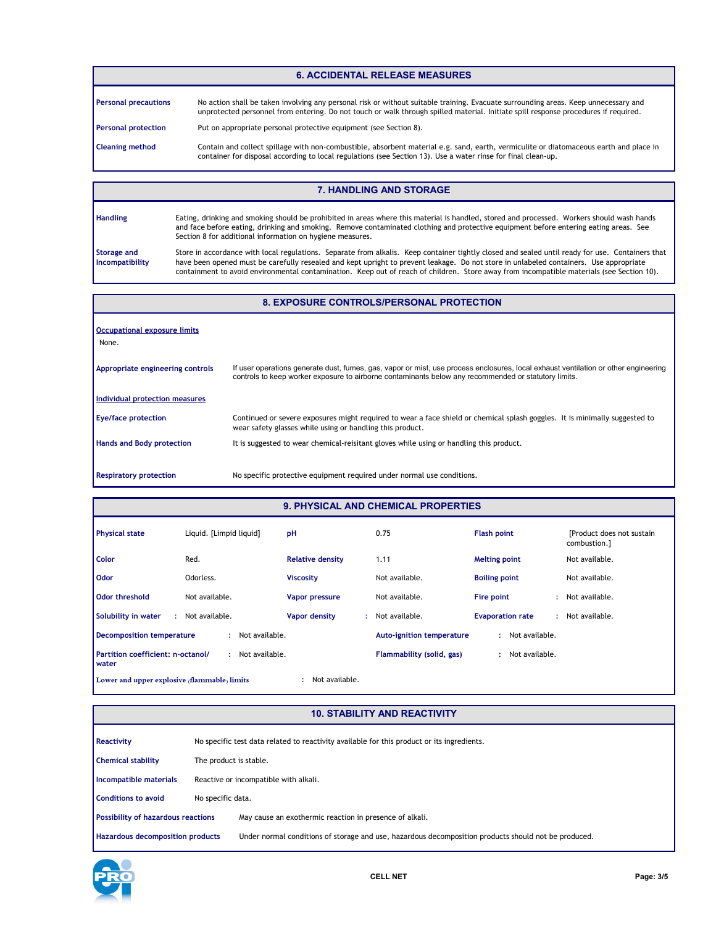### **6. ACCIDENTAL RELEASE MEASURES**

| <b>Personal precautions</b> | No action shall be taken involving any personal risk or without suitable training. Evacuate surrounding areas. Keep unnecessary and<br>unprotected personnel from entering. Do not touch or walk through spilled material. Initiate spill response procedures if required. |
|-----------------------------|----------------------------------------------------------------------------------------------------------------------------------------------------------------------------------------------------------------------------------------------------------------------------|
| <b>Personal protection</b>  | Put on appropriate personal protective equipment (see Section 8).                                                                                                                                                                                                          |
| <b>Cleaning method</b>      | Contain and collect spillage with non-combustible, absorbent material e.g. sand, earth, vermiculite or diatomaceous earth and place in<br>container for disposal according to local regulations (see Section 13). Use a water rinse for final clean-up.                    |

#### **7. HANDLING AND STORAGE**

| <b>Handling</b>                       | Eating, drinking and smoking should be prohibited in areas where this material is handled, stored and processed. Workers should wash hands<br>and face before eating, drinking and smoking. Remove contaminated clothing and protective equipment before entering eating areas. See<br>Section 8 for additional information on hygiene measures.                                                                                        |
|---------------------------------------|-----------------------------------------------------------------------------------------------------------------------------------------------------------------------------------------------------------------------------------------------------------------------------------------------------------------------------------------------------------------------------------------------------------------------------------------|
| <b>Storage and</b><br>Incompatibility | Store in accordance with local regulations. Separate from alkalis. Keep container tightly closed and sealed until ready for use. Containers that<br>have been opened must be carefully resealed and kept upright to prevent leakage. Do not store in unlabeled containers. Use appropriate<br>containment to avoid environmental contamination. Keep out of reach of children. Store away from incompatible materials (see Section 10). |

## **8. EXPOSURE CONTROLS/PERSONAL PROTECTION**

| Occupational exposure limits<br>None. |                                                                                                                                                                                                                                             |
|---------------------------------------|---------------------------------------------------------------------------------------------------------------------------------------------------------------------------------------------------------------------------------------------|
| Appropriate engineering controls      | If user operations generate dust, fumes, gas, vapor or mist, use process enclosures, local exhaust ventilation or other engineering<br>controls to keep worker exposure to airborne contaminants below any recommended or statutory limits. |
| Individual protection measures        |                                                                                                                                                                                                                                             |
| <b>Eye/face protection</b>            | Continued or severe exposures might required to wear a face shield or chemical splash goggles. It is minimally suggested to<br>wear safety glasses while using or handling this product.                                                    |
| <b>Hands and Body protection</b>      | It is suggested to wear chemical-reisitant gloves while using or handling this product.                                                                                                                                                     |
| <b>Respiratory protection</b>         | No specific protective equipment required under normal use conditions.                                                                                                                                                                      |

# **9. PHYSICAL AND CHEMICAL PROPERTIES**

| <b>Physical state</b>                        | Liquid. [Limpid liquid] | pH                      | 0.75                             | <b>Flash point</b>      | [Product does not sustain]<br>combustion.1 |
|----------------------------------------------|-------------------------|-------------------------|----------------------------------|-------------------------|--------------------------------------------|
| Color                                        | Red.                    | <b>Relative density</b> | 1.11                             | <b>Melting point</b>    | Not available.                             |
| <b>Odor</b>                                  | Odorless.               | <b>Viscosity</b>        | Not available.                   | <b>Boiling point</b>    | Not available.                             |
| <b>Odor threshold</b>                        | Not available.          | <b>Vapor pressure</b>   | Not available.                   | Fire point              | : Not available.                           |
| Solubility in water<br>÷                     | Not available.          | Vapor density<br>÷      | Not available.                   | <b>Evaporation rate</b> | : Not available.                           |
| <b>Decomposition temperature</b>             | Not available.<br>÷.    |                         | <b>Auto-ignition temperature</b> | Not available.<br>÷     |                                            |
| Partition coefficient: n-octanol/<br>water   | Not available.<br>٠     |                         | Flammability (solid, gas)        | Not available.<br>٠     |                                            |
| Lower and upper explosive (flammable) limits |                         | Not available.          |                                  |                         |                                            |

### **10. STABILITY AND REACTIVITY**

| Reactivity                                |                                       | No specific test data related to reactivity available for this product or its ingredients.           |  |  |  |  |  |
|-------------------------------------------|---------------------------------------|------------------------------------------------------------------------------------------------------|--|--|--|--|--|
| <b>Chemical stability</b>                 |                                       | The product is stable.                                                                               |  |  |  |  |  |
| Incompatible materials                    | Reactive or incompatible with alkali. |                                                                                                      |  |  |  |  |  |
| <b>Conditions to avoid</b>                | No specific data.                     |                                                                                                      |  |  |  |  |  |
| <b>Possibility of hazardous reactions</b> |                                       | May cause an exothermic reaction in presence of alkali.                                              |  |  |  |  |  |
| Hazardous decomposition products          |                                       | Under normal conditions of storage and use, hazardous decomposition products should not be produced. |  |  |  |  |  |

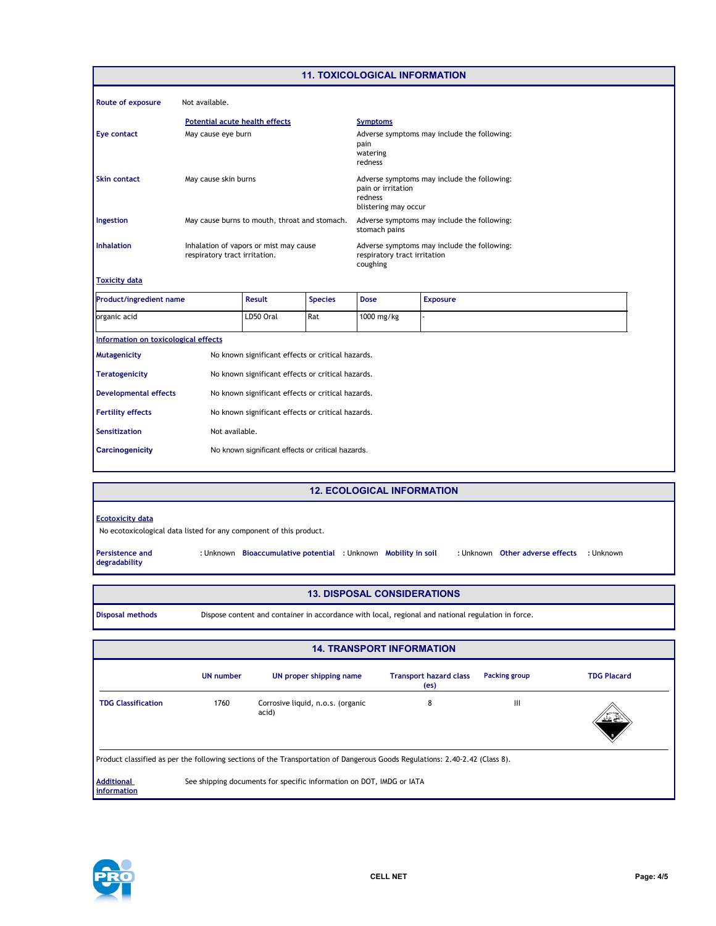| <b>11. TOXICOLOGICAL INFORMATION</b> |                                                                         |                                                   |                                                                                                      |                                                                                         |                                                                            |  |  |  |
|--------------------------------------|-------------------------------------------------------------------------|---------------------------------------------------|------------------------------------------------------------------------------------------------------|-----------------------------------------------------------------------------------------|----------------------------------------------------------------------------|--|--|--|
| <b>Route of exposure</b>             | Not available.                                                          |                                                   |                                                                                                      |                                                                                         |                                                                            |  |  |  |
|                                      |                                                                         | <b>Potential acute health effects</b>             |                                                                                                      |                                                                                         | <b>Symptoms</b>                                                            |  |  |  |
| Eye contact                          |                                                                         | May cause eye burn                                |                                                                                                      |                                                                                         | Adverse symptoms may include the following:<br>pain<br>watering<br>redness |  |  |  |
| <b>Skin contact</b>                  | May cause skin burns                                                    |                                                   | Adverse symptoms may include the following:<br>pain or irritation<br>redness<br>blistering may occur |                                                                                         |                                                                            |  |  |  |
| Ingestion                            |                                                                         | May cause burns to mouth, throat and stomach.     |                                                                                                      | Adverse symptoms may include the following:<br>stomach pains                            |                                                                            |  |  |  |
| <b>Inhalation</b>                    | Inhalation of vapors or mist may cause<br>respiratory tract irritation. |                                                   |                                                                                                      | Adverse symptoms may include the following:<br>respiratory tract irritation<br>coughing |                                                                            |  |  |  |
| <b>Toxicity data</b>                 |                                                                         |                                                   |                                                                                                      |                                                                                         |                                                                            |  |  |  |
| <b>Product/ingredient name</b>       |                                                                         | <b>Result</b>                                     | <b>Species</b>                                                                                       | <b>Dose</b>                                                                             | <b>Exposure</b>                                                            |  |  |  |
| organic acid                         |                                                                         | LD50 Oral                                         | Rat                                                                                                  | 1000 mg/kg                                                                              |                                                                            |  |  |  |
| Information on toxicological effects |                                                                         |                                                   |                                                                                                      |                                                                                         |                                                                            |  |  |  |
| <b>Mutagenicity</b>                  |                                                                         | No known significant effects or critical hazards. |                                                                                                      |                                                                                         |                                                                            |  |  |  |
| <b>Teratogenicity</b>                | No known significant effects or critical hazards.                       |                                                   |                                                                                                      |                                                                                         |                                                                            |  |  |  |
| <b>Developmental effects</b>         | No known significant effects or critical hazards.                       |                                                   |                                                                                                      |                                                                                         |                                                                            |  |  |  |
| <b>Fertility effects</b>             | No known significant effects or critical hazards.                       |                                                   |                                                                                                      |                                                                                         |                                                                            |  |  |  |
| <b>Sensitization</b>                 | Not available.                                                          |                                                   |                                                                                                      |                                                                                         |                                                                            |  |  |  |
| <b>Carcinogenicity</b>               | No known significant effects or critical hazards.                       |                                                   |                                                                                                      |                                                                                         |                                                                            |  |  |  |

#### **12. ECOLOGICAL INFORMATION**

#### **Ecotoxicity data**

No ecotoxicological data listed for any component of this product.

**Persistence and degradability**

**Bioaccumulative potential Mobility in soil :** Unknown **:** Unknown **:** Unknown **:** Unknown

: Unknown Other adverse effects : Unknown

- **13. DISPOSAL CONSIDERATIONS**
- **Disposal methods** Dispose content and container in accordance with local, regional and national regulation in force.

| <b>14. TRANSPORT INFORMATION</b>                                                                                            |                                                                      |                                            |                                       |                      |                    |  |
|-----------------------------------------------------------------------------------------------------------------------------|----------------------------------------------------------------------|--------------------------------------------|---------------------------------------|----------------------|--------------------|--|
|                                                                                                                             | <b>UN number</b>                                                     | UN proper shipping name                    | <b>Transport hazard class</b><br>(es) | <b>Packing group</b> | <b>TDG Placard</b> |  |
| <b>TDG Classification</b>                                                                                                   | 1760                                                                 | Corrosive liquid, n.o.s. (organic<br>acid) | 8                                     | Ш                    | مختصف              |  |
| Product classified as per the following sections of the Transportation of Dangerous Goods Regulations: 2.40-2.42 (Class 8). |                                                                      |                                            |                                       |                      |                    |  |
| <b>Additional</b><br>information                                                                                            | See shipping documents for specific information on DOT, IMDG or IATA |                                            |                                       |                      |                    |  |